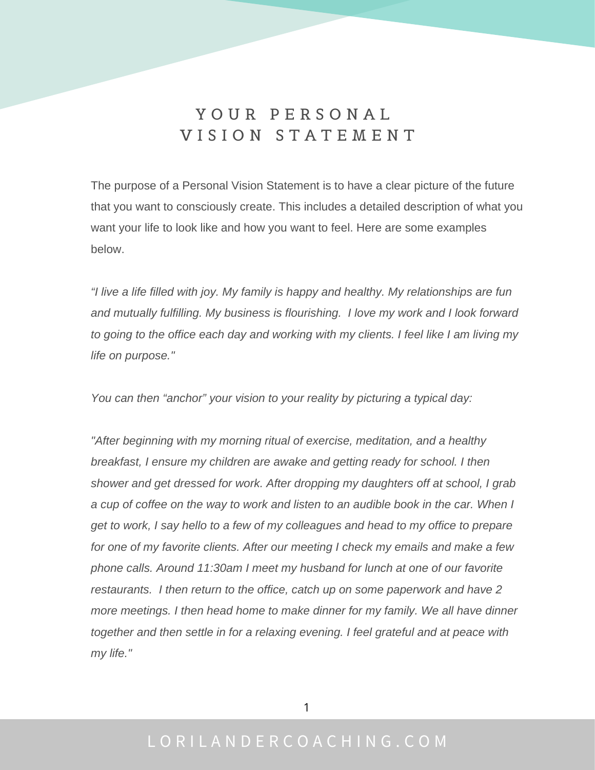## YOUR PERSONAL V I S I O N S T A T E M E N T

The purpose of a Personal Vision Statement is to have a clear picture of the future that you want to consciously create. This includes a detailed description of what you want your life to look like and how you want to feel. Here are some examples below.

*"I live a life filled with joy. My family is happy and healthy. My relationships are fun and mutually fulfilling. My business is flourishing. I love my work and I look forward to going to the office each day and working with my clients. I feel like I am living my life on purpose."*

*You can then "anchor" your vision to your reality by picturing a typical day:*

*"After beginning with my morning ritual of exercise, meditation, and a healthy breakfast, I ensure my children are awake and getting ready for school. I then shower and get dressed for work. After dropping my daughters off at school, I grab a cup of coffee on the way to work and listen to an audible book in the car. When I get to work, I say hello to a few of my colleagues and head to my office to prepare for one of my favorite clients. After our meeting I check my emails and make a few phone calls. Around 11:30am I meet my husband for lunch at one of our favorite restaurants. I then return to the office, catch up on some paperwork and have 2 more meetings. I then head home to make dinner for my family. We all have dinner together and then settle in for a relaxing evening. I feel grateful and at peace with my life."*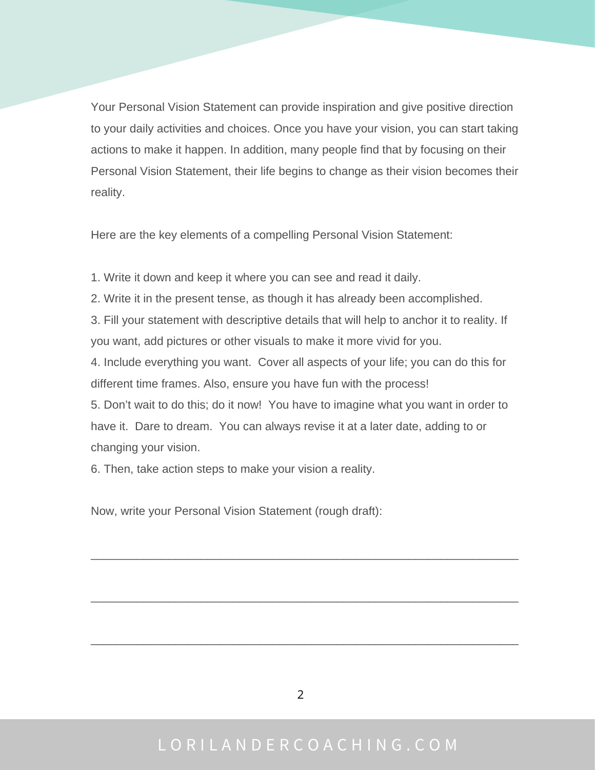Your Personal Vision Statement can provide inspiration and give positive direction to your daily activities and choices. Once you have your vision, you can start taking actions to make it happen. In addition, many people find that by focusing on their Personal Vision Statement, their life begins to change as their vision becomes their reality.

Here are the key elements of a compelling Personal Vision Statement:

1. Write it down and keep it where you can see and read it daily.

2. Write it in the present tense, as though it has already been accomplished.

3. Fill your statement with descriptive details that will help to anchor it to reality. If you want, add pictures or other visuals to make it more vivid for you.

4. Include everything you want. Cover all aspects of your life; you can do this for different time frames. Also, ensure you have fun with the process!

5. Don't wait to do this; do it now! You have to imagine what you want in order to have it. Dare to dream. You can always revise it at a later date, adding to or changing your vision.

 $\_$  , and the set of the set of the set of the set of the set of the set of the set of the set of the set of the set of the set of the set of the set of the set of the set of the set of the set of the set of the set of th

 $\_$  , and the set of the set of the set of the set of the set of the set of the set of the set of the set of the set of the set of the set of the set of the set of the set of the set of the set of the set of the set of th

 $\mathcal{L}_\mathcal{L} = \{ \mathcal{L}_\mathcal{L} = \{ \mathcal{L}_\mathcal{L} = \{ \mathcal{L}_\mathcal{L} = \{ \mathcal{L}_\mathcal{L} = \{ \mathcal{L}_\mathcal{L} = \{ \mathcal{L}_\mathcal{L} = \{ \mathcal{L}_\mathcal{L} = \{ \mathcal{L}_\mathcal{L} = \{ \mathcal{L}_\mathcal{L} = \{ \mathcal{L}_\mathcal{L} = \{ \mathcal{L}_\mathcal{L} = \{ \mathcal{L}_\mathcal{L} = \{ \mathcal{L}_\mathcal{L} = \{ \mathcal{L}_\mathcal{$ 

6. Then, take action steps to make your vision a reality.

Now, write your Personal Vision Statement (rough draft):

## L O R I L A N D E R C O A C H I N G . C O [M](https://lorilandercoaching.com/)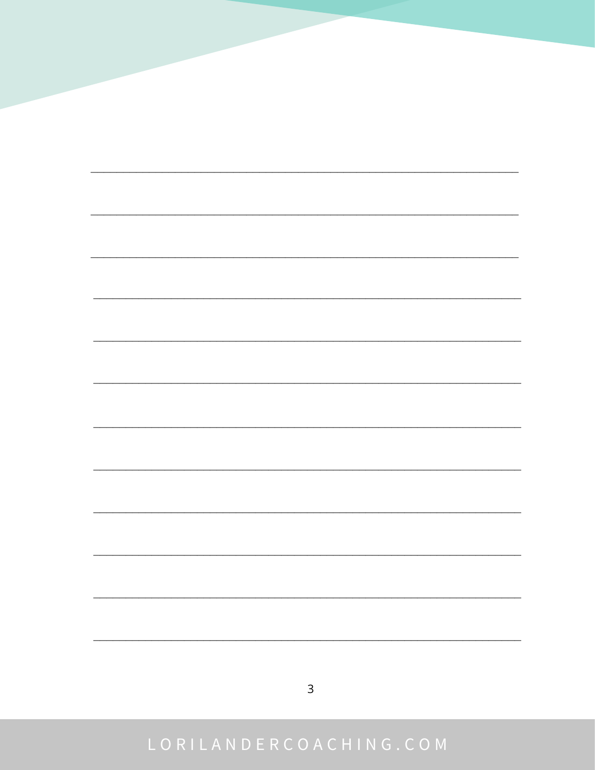